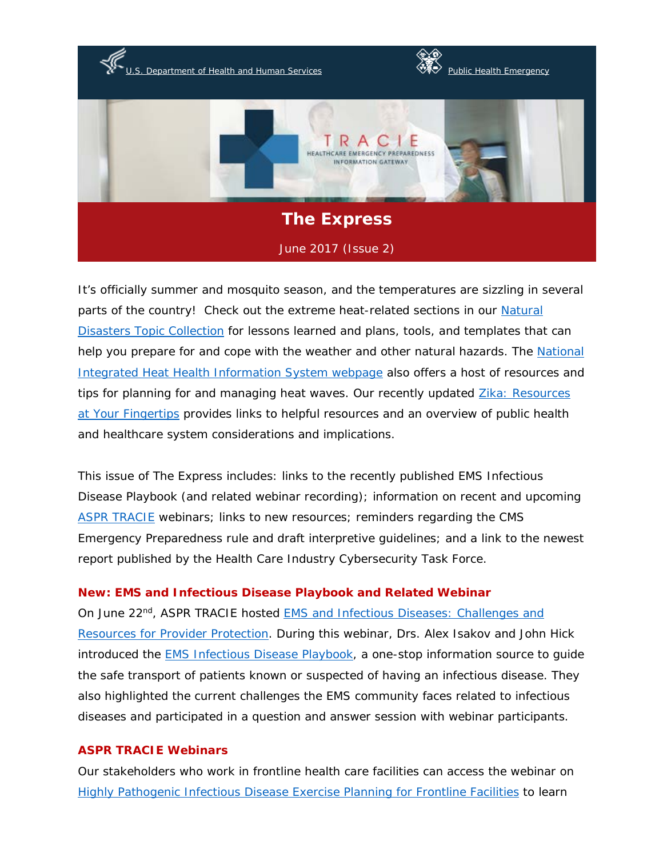

It's officially summer and mosquito season, and the temperatures are sizzling in several parts of the country! Check out the extreme heat-related sections in our [Natural](https://asprtracie.hhs.gov/technical-resources/36/natural-disasters/27)  [Disasters Topic Collection](https://asprtracie.hhs.gov/technical-resources/36/natural-disasters/27) for lessons learned and plans, tools, and templates that can help you prepare for and cope with the weather and other natural hazards. The National [Integrated Heat Health Information System webpage](https://toolkit.climate.gov/nihhis/) also offers a host of resources and tips for planning for and managing heat waves. Our recently updated Zika: Resources [at Your Fingertips](https://asprtracie.hhs.gov/documents/aspr-tracie-zika-virus-disease-resources-at-your-fingertips.pdf) provides links to helpful resources and an overview of public health and healthcare system considerations and implications.

This issue of The Express includes: links to the recently published EMS Infectious Disease Playbook (and related webinar recording); information on recent and upcoming [ASPR TRACIE](https://asprtracie.hhs.gov/) webinars; links to new resources; reminders regarding the CMS Emergency Preparedness rule and draft interpretive guidelines; and a link to the newest report published by the Health Care Industry Cybersecurity Task Force.

## **New: EMS and Infectious Disease Playbook and Related Webinar**

On June 22nd, ASPR TRACIE hosted [EMS and Infectious Diseases: Challenges and](https://asprtracie.hhs.gov/documents/ems-and-infectious-diseases-challenges-and-resources-for-provider-protection-508.pdf)  [Resources for Provider Protection.](https://asprtracie.hhs.gov/documents/ems-and-infectious-diseases-challenges-and-resources-for-provider-protection-508.pdf) During this webinar, Drs. Alex Isakov and John Hick introduced the **EMS Infectious Disease Playbook**, a one-stop information source to guide the safe transport of patients known or suspected of having an infectious disease. They also highlighted the current challenges the EMS community faces related to infectious diseases and participated in a question and answer session with webinar participants.

#### **ASPR TRACIE Webinars**

Our stakeholders who work in frontline health care facilities can access the webinar on [Highly Pathogenic Infectious Disease Exercise Planning for Frontline Facilities](https://asprtracie.hhs.gov/documents/ebola-frontline-exercises-webinar-508.pdf) to learn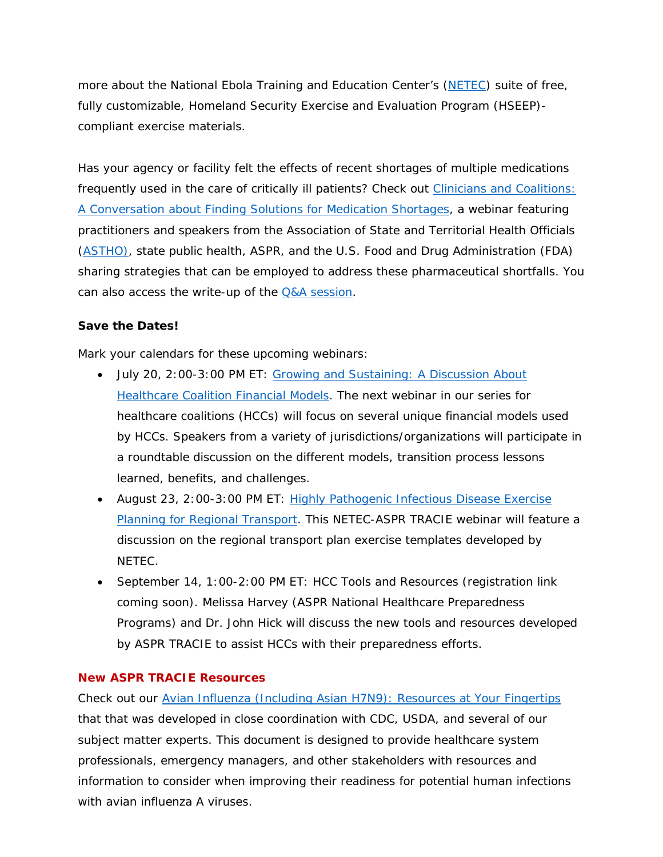more about the National Ebola Training and Education Center's [\(NETEC\)](https://netec.org/) suite of free, fully customizable, Homeland Security Exercise and Evaluation Program (HSEEP) compliant exercise materials.

Has your agency or facility felt the effects of recent shortages of multiple medications frequently used in the care of critically ill patients? Check out Clinicians and Coalitions: [A Conversation about Finding Solutions for Medication Shortages,](https://asprtracie.hhs.gov/documents/aspr-tracie-medication-shortages-webinar-508.pdf) a webinar featuring practitioners and speakers from the Association of State and Territorial Health Officials [\(ASTHO\)](http://www.astho.org/), state public health, ASPR, and the U.S. Food and Drug Administration (FDA) sharing strategies that can be employed to address these pharmaceutical shortfalls. You can also access the write-up of the [Q&A session.](https://asprtracie.hhs.gov/documents/aspr-tracie-medication-shortage-webinar-discussion-questions.pdf)

## **Save the Dates!**

Mark your calendars for these upcoming webinars:

- *July 20, 2:00-3:00 PM ET: [Growing and Sustaining: A Discussion About](https://register.gotowebinar.com/register/6020257554027280130)  [Healthcare Coalition Financial Models](https://register.gotowebinar.com/register/6020257554027280130)*. The next webinar in our series for healthcare coalitions (HCCs) will focus on several unique financial models used by HCCs. Speakers from a variety of jurisdictions/organizations will participate in a roundtable discussion on the different models, transition process lessons learned, benefits, and challenges.
- *August 23, 2:00-3:00 PM ET: [Highly Pathogenic Infectious Disease Exercise](https://register.gotowebinar.com/register/9141634725821470465)  [Planning for Regional Transport.](https://register.gotowebinar.com/register/9141634725821470465)* This NETEC-ASPR TRACIE webinar will feature a discussion on the regional transport plan exercise templates developed by NETEC.
- *September 14, 1:00-2:00 PM ET: HCC Tools and Resources (registration link coming soon)*. Melissa Harvey (ASPR National Healthcare Preparedness Programs) and Dr. John Hick will discuss the new tools and resources developed by ASPR TRACIE to assist HCCs with their preparedness efforts.

## **New ASPR TRACIE Resources**

Check out our [Avian Influenza \(Including Asian H7N9\): Resources at Your Fingertips](https://asprtracie.hhs.gov/documents/aspr-tracie-avian-influenza-resources-at-your-fingertips.pdf)  that that was developed in close coordination with CDC, USDA, and several of our subject matter experts. This document is designed to provide healthcare system professionals, emergency managers, and other stakeholders with resources and information to consider when improving their readiness for potential human infections with avian influenza A viruses.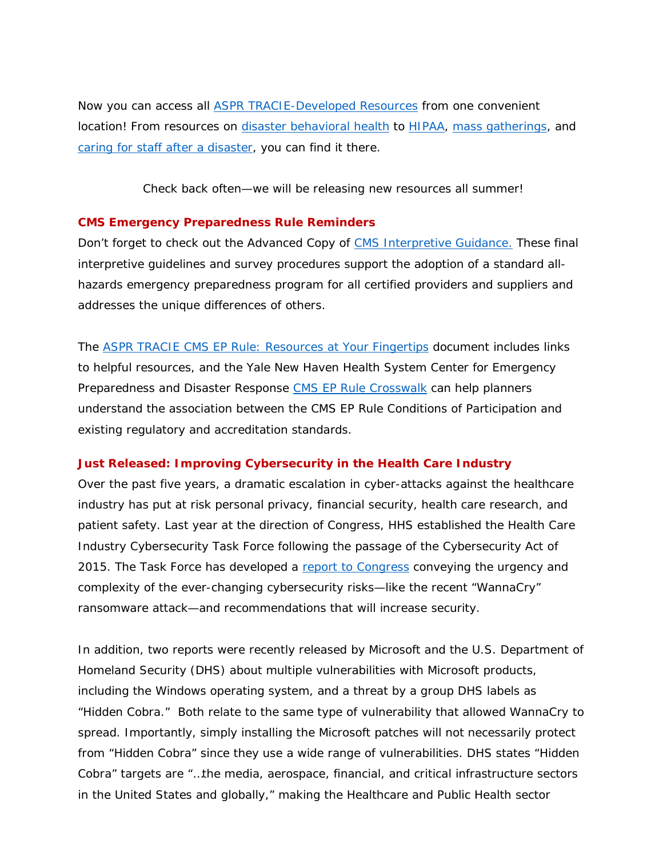Now you can access all [ASPR TRACIE-Developed](https://asprtracie.hhs.gov/tracie-resources) Resources from one convenient location! From resources on [disaster behavioral health](https://asprtracie.hhs.gov/documents/aspr-tracie-dbh-resources-at-your-fingertips.pdf) to [HIPAA,](https://asprtracie.hhs.gov/documents/aspr-tracie-hipaa-emergency-fact-sheet.pdf) [mass gatherings,](https://asprtracie.hhs.gov/documents/aspr-tracie-hcc-webinar-2-mass-gatherings.pdf) and [caring for staff after a disaster,](https://asprtracie.hhs.gov/documents/tips-for-retaining-and-caring-for-staff-after-disaster.pdf) you can find it there.

*Check back often—we will be releasing new resources all summer!*

#### **CMS Emergency Preparedness Rule Reminders**

Don't forget to check out the Advanced Copy of [CMS Interpretive Guidance.](https://www.cms.gov/Medicare/Provider-Enrollment-and-Certification/SurveyCertEmergPrep/Downloads/Advanced-Copy-SOM-Appendix-Z-EP-IGs.pdf) These final interpretive guidelines and survey procedures support the adoption of a standard allhazards emergency preparedness program for all certified providers and suppliers and addresses the unique differences of others.

The ASPR [TRACIE CMS EP Rule: Resources at Your Fingertips](https://asprtracie.hhs.gov/documents/cms-ep-rule-resources-at-your-fingertips.pdf) document includes links to helpful resources, and the Yale New Haven Health System Center for Emergency Preparedness and Disaster Response [CMS EP Rule Crosswalk](https://www.ynhhs.org/emergency/insights/library.aspx) can help planners understand the association between the CMS EP Rule Conditions of Participation and existing regulatory and accreditation standards.

## **Just Released: Improving Cybersecurity in the Health Care Industry**

Over the past five years, a dramatic escalation in cyber-attacks against the healthcare industry has put at risk personal privacy, financial security, health care research, and patient safety. Last year at the direction of Congress, HHS established the Health Care Industry Cybersecurity Task Force following the passage of the Cybersecurity Act of 2015. The Task Force has developed a [report to Congress](https://www.phe.gov/Preparedness/planning/CyberTF/Documents/report2017.pdf) conveying the urgency and complexity of the ever-changing cybersecurity risks—like the recent "WannaCry" ransomware attack—and recommendations that will increase security.

In addition, two reports were recently released by Microsoft and the U.S. Department of Homeland Security (DHS) about multiple vulnerabilities with Microsoft products, including the Windows operating system, and a threat by a group DHS labels as "Hidden Cobra." Both relate to the same type of vulnerability that allowed WannaCry to spread. Importantly, simply installing the Microsoft patches will not necessarily protect from "Hidden Cobra" since they use a wide range of vulnerabilities. DHS states "Hidden Cobra" targets are "…the media, aerospace, financial, and critical infrastructure sectors in the United States and globally," making the Healthcare and Public Health sector